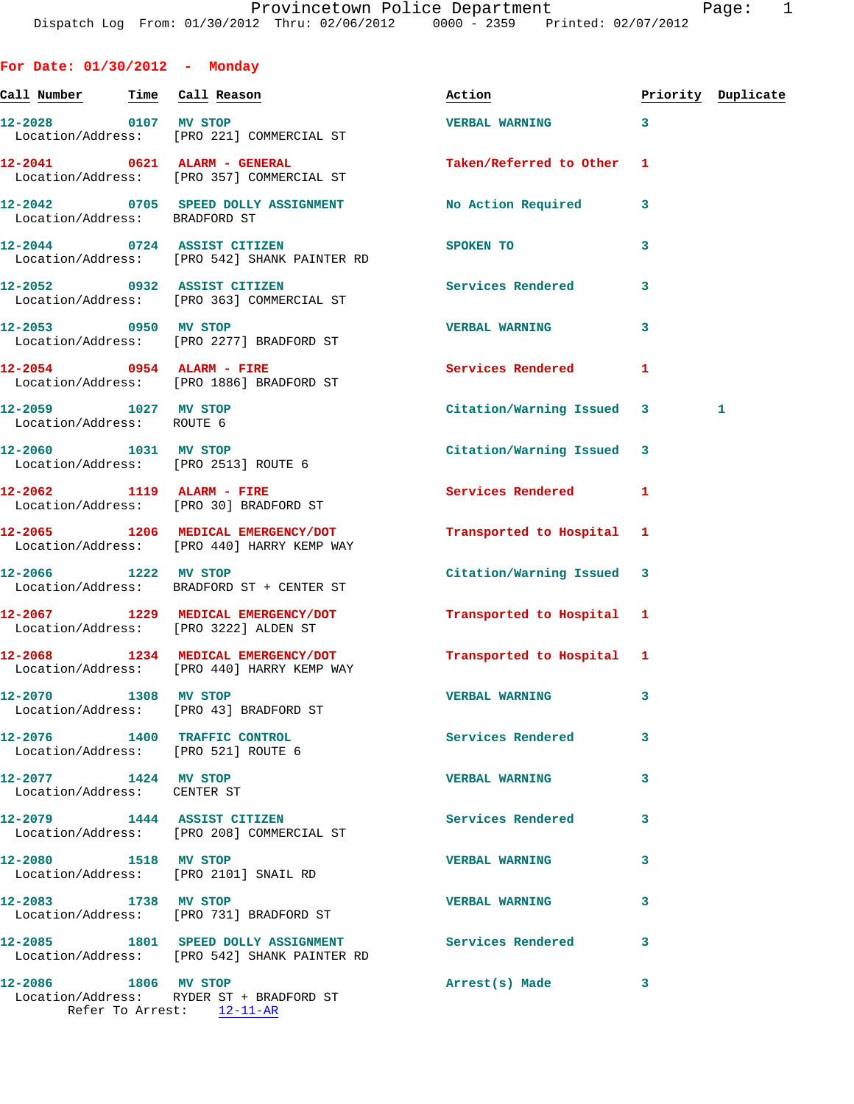| For Date: $01/30/2012 -$ Monday                                     |                                                                                  |                           |    |                    |
|---------------------------------------------------------------------|----------------------------------------------------------------------------------|---------------------------|----|--------------------|
| <u>Call Number — Time Call Reason</u>                               |                                                                                  | Action                    |    | Priority Duplicate |
| 12-2028 0107 MV STOP                                                | Location/Address: [PRO 221] COMMERCIAL ST                                        | VERBAL WARNING 3          |    |                    |
|                                                                     | 12-2041 0621 ALARM - GENERAL<br>Location/Address: [PRO 357] COMMERCIAL ST        | Taken/Referred to Other 1 |    |                    |
| Location/Address: BRADFORD ST                                       | 12-2042 0705 SPEED DOLLY ASSIGNMENT                                              | No Action Required        | 3  |                    |
|                                                                     | 12-2044 0724 ASSIST CITIZEN<br>Location/Address: [PRO 542] SHANK PAINTER RD      | SPOKEN TO                 | 3  |                    |
| 12-2052 0932 ASSIST CITIZEN                                         | Location/Address: [PRO 363] COMMERCIAL ST                                        | <b>Services Rendered</b>  | 3  |                    |
|                                                                     | 12-2053 0950 MV STOP<br>Location/Address: [PRO 2277] BRADFORD ST                 | <b>VERBAL WARNING</b>     | 3  |                    |
|                                                                     | $12-2054$ 0954 ALARM - FIRE<br>Location/Address: [PRO 1886] BRADFORD ST          | <b>Services Rendered</b>  | -1 |                    |
| 12-2059 1027 MV STOP<br>Location/Address: ROUTE 6                   |                                                                                  | Citation/Warning Issued 3 |    | 1                  |
| 12-2060 1031 MV STOP<br>Location/Address: [PRO 2513] ROUTE 6        |                                                                                  | Citation/Warning Issued 3 |    |                    |
| 12-2062 1119 ALARM - FIRE<br>Location/Address: [PRO 30] BRADFORD ST |                                                                                  | Services Rendered 1       |    |                    |
|                                                                     | 12-2065 1206 MEDICAL EMERGENCY/DOT<br>Location/Address: [PRO 440] HARRY KEMP WAY | Transported to Hospital 1 |    |                    |
| 12-2066 1222 MV STOP                                                | Location/Address: BRADFORD ST + CENTER ST                                        | Citation/Warning Issued 3 |    |                    |
| Location/Address: [PRO 3222] ALDEN ST                               | 12-2067 1229 MEDICAL EMERGENCY/DOT                                               | Transported to Hospital 1 |    |                    |
|                                                                     | 12-2068 1234 MEDICAL EMERGENCY/DOT<br>Location/Address: [PRO 440] HARRY KEMP WAY | Transported to Hospital 1 |    |                    |
| 1308 MV STOP<br>12-2070<br>Location/Address: [PRO 43] BRADFORD ST   |                                                                                  | <b>VERBAL WARNING</b>     | 3  |                    |
| 12-2076 1400 TRAFFIC CONTROL<br>Location/Address: [PRO 521] ROUTE 6 |                                                                                  | Services Rendered         | 3  |                    |
| 12-2077 1424 MV STOP<br>Location/Address: CENTER ST                 |                                                                                  | <b>VERBAL WARNING</b>     | 3  |                    |
| 12-2079 1444 ASSIST CITIZEN                                         | Location/Address: [PRO 208] COMMERCIAL ST                                        | Services Rendered         | 3  |                    |
| 12-2080 1518 MV STOP<br>Location/Address: [PRO 2101] SNAIL RD       |                                                                                  | <b>VERBAL WARNING</b>     | 3  |                    |
| 12-2083 1738 MV STOP                                                | Location/Address: [PRO 731] BRADFORD ST                                          | <b>VERBAL WARNING</b>     | 3  |                    |

**12-2085 1801 SPEED DOLLY ASSIGNMENT Services Rendered 3**  Location/Address: [PRO 542] SHANK PAINTER RD

## **12-2086 1806 MV STOP Arrest(s) Made 3**  Location/Address: RYDER ST + BRADFORD ST

Refer To Arrest: 12-11-AR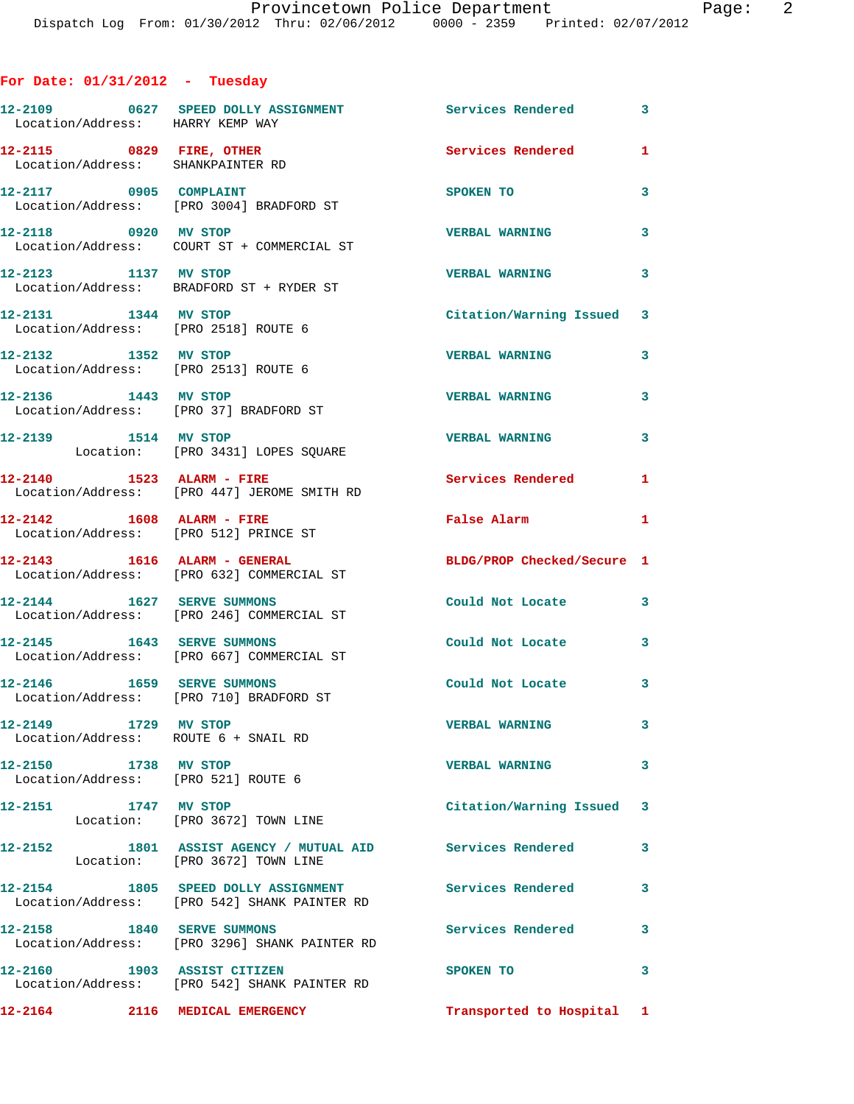## **For Date: 01/31/2012 - Tuesday**

| Location/Address: HARRY KEMP WAY                               | 12-2109 0627 SPEED DOLLY ASSIGNMENT                                                         | Services Rendered            | 3            |
|----------------------------------------------------------------|---------------------------------------------------------------------------------------------|------------------------------|--------------|
| 12-2115 0829 FIRE, OTHER<br>Location/Address: SHANKPAINTER RD  |                                                                                             | <b>Services Rendered</b>     | 1            |
| 12-2117 0905 COMPLAINT                                         | Location/Address: [PRO 3004] BRADFORD ST                                                    | SPOKEN TO                    | 3            |
| 12-2118 0920 MV STOP                                           | Location/Address: COURT ST + COMMERCIAL ST                                                  | <b>VERBAL WARNING</b>        | 3            |
| 12-2123 1137 MV STOP                                           | Location/Address: BRADFORD ST + RYDER ST                                                    | <b>VERBAL WARNING</b>        | 3            |
| 12-2131 1344 MV STOP<br>Location/Address: [PRO 2518] ROUTE 6   |                                                                                             | Citation/Warning Issued 3    |              |
| 12-2132 1352 MV STOP<br>Location/Address: [PRO 2513] ROUTE 6   |                                                                                             | <b>VERBAL WARNING</b>        | 3            |
| 12-2136 1443 MV STOP<br>Location/Address: [PRO 37] BRADFORD ST |                                                                                             | <b>VERBAL WARNING</b>        | 3            |
| 12-2139 1514 MV STOP                                           | Location: [PRO 3431] LOPES SQUARE                                                           | <b>VERBAL WARNING</b>        | 3            |
| $12 - 2140$ 1523 ALARM - FIRE                                  | Location/Address: [PRO 447] JEROME SMITH RD                                                 | Services Rendered            | 1            |
| 12-2142   1608   ALARM - FIRE                                  | Location/Address: [PRO 512] PRINCE ST                                                       | False Alarm                  | 1            |
| 12-2143    1616    ALARM - GENERAL                             | Location/Address: [PRO 632] COMMERCIAL ST                                                   | BLDG/PROP Checked/Secure 1   |              |
|                                                                | 12-2144 1627 SERVE SUMMONS<br>Location/Address: [PRO 246] COMMERCIAL ST                     | Could Not Locate             | 3            |
| 12-2145 1643 SERVE SUMMONS                                     | Location/Address: [PRO 667] COMMERCIAL ST                                                   | Could Not Locate             | 3            |
| 12-2146 1659 SERVE SUMMONS                                     | Location/Address: [PRO 710] BRADFORD ST                                                     | $\sim$ 3<br>Could Not Locate |              |
| Location/Address: ROUTE 6 + SNAIL RD                           |                                                                                             | <b>VERBAL WARNING</b>        |              |
| 12-2150 1738 MV STOP<br>Location/Address: [PRO 521] ROUTE 6    |                                                                                             | <b>VERBAL WARNING</b>        | $\mathbf{3}$ |
| 12-2151 1747 MV STOP                                           | Location: [PRO 3672] TOWN LINE                                                              | Citation/Warning Issued 3    |              |
|                                                                | 12-2152 1801 ASSIST AGENCY / MUTUAL AID Services Rendered<br>Location: [PRO 3672] TOWN LINE |                              | 3            |
|                                                                | 12-2154 1805 SPEED DOLLY ASSIGNMENT<br>Location/Address: [PRO 542] SHANK PAINTER RD         | <b>Services Rendered</b>     | 3            |
| 12-2158 1840 SERVE SUMMONS                                     | Location/Address: [PRO 3296] SHANK PAINTER RD                                               | Services Rendered            | $\mathbf{3}$ |
| 12-2160 1903 ASSIST CITIZEN                                    | Location/Address: [PRO 542] SHANK PAINTER RD                                                | SPOKEN TO                    | $\mathbf{3}$ |
| 12-2164 2116 MEDICAL EMERGENCY                                 |                                                                                             | Transported to Hospital 1    |              |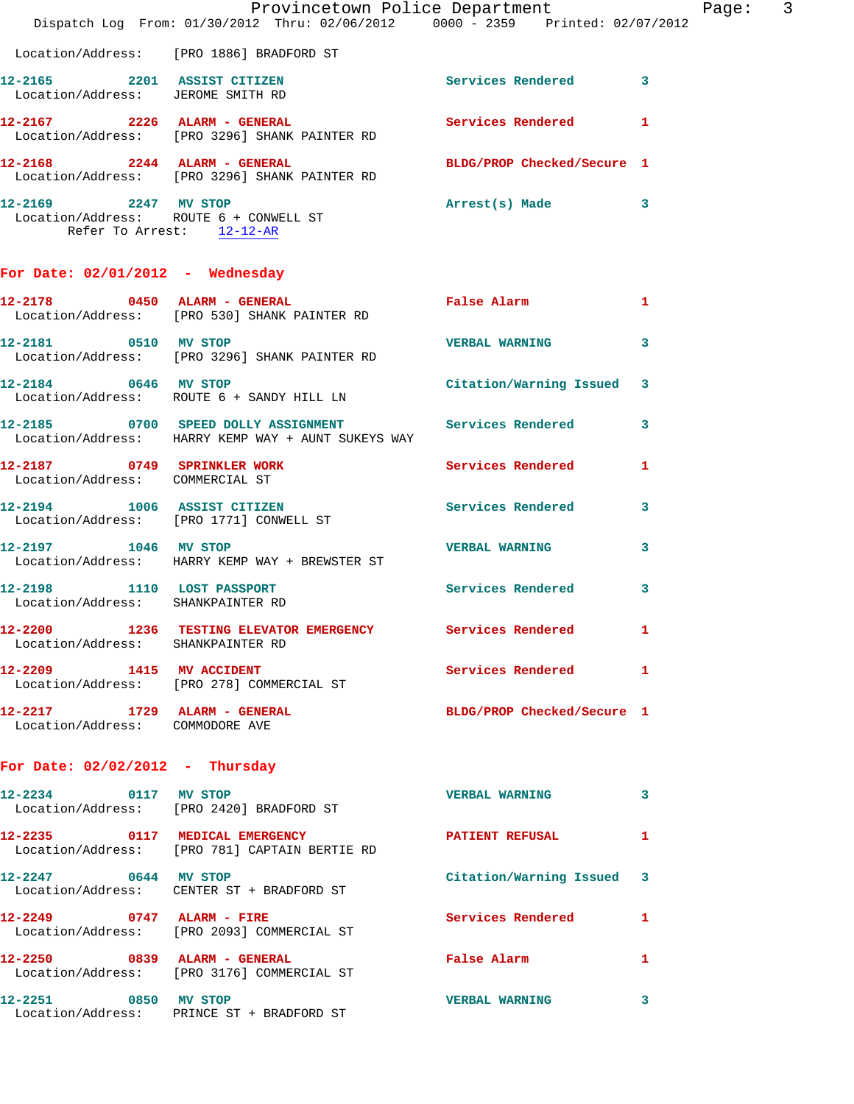|                                                                 | Dispatch Log From: 01/30/2012 Thru: 02/06/2012 0000 - 2359 Printed: 02/07/2012                              | Provincetown Police Department Page: 3                                                                         |    |  |
|-----------------------------------------------------------------|-------------------------------------------------------------------------------------------------------------|----------------------------------------------------------------------------------------------------------------|----|--|
|                                                                 | Location/Address: [PRO 1886] BRADFORD ST                                                                    |                                                                                                                |    |  |
|                                                                 | 12-2165 2201 ASSIST CITIZEN<br>Location/Address: JEROME SMITH RD                                            | Services Rendered 3                                                                                            |    |  |
|                                                                 | 12-2167 2226 ALARM - GENERAL Services Rendered<br>Location/Address: [PRO 3296] SHANK PAINTER RD             |                                                                                                                | -1 |  |
|                                                                 | 12-2168 2244 ALARM - GENERAL BLDG/PROP Checked/Secure 1<br>Location/Address: [PRO 3296] SHANK PAINTER RD    |                                                                                                                |    |  |
| 12-2169 2247 MV STOP                                            | Location/Address: ROUTE 6 + CONWELL ST<br>Refer To Arrest: 12-12-AR                                         | Arrest(s) Made 3                                                                                               |    |  |
| For Date: $02/01/2012$ - Wednesday                              |                                                                                                             |                                                                                                                |    |  |
|                                                                 | 12-2178 0450 ALARM - GENERAL<br>Location/Address: [PRO 530] SHANK PAINTER RD                                | False Alarm and the state of the state of the state of the state of the state of the state of the state of the | 1  |  |
| 12-2181 0510 MV STOP                                            | Location/Address: [PRO 3296] SHANK PAINTER RD                                                               | <b>VERBAL WARNING</b>                                                                                          | 3  |  |
|                                                                 | 12-2184 0646 MV STOP Citation/Warning Issued 3<br>Location/Address: ROUTE 6 + SANDY HILL LN                 |                                                                                                                |    |  |
|                                                                 | 12-2185 0700 SPEED DOLLY ASSIGNMENT Services Rendered<br>Location/Address: HARRY KEMP WAY + AUNT SUKEYS WAY |                                                                                                                | 3  |  |
| Location/Address: COMMERCIAL ST                                 | 12-2187 0749 SPRINKLER WORK Services Rendered                                                               |                                                                                                                | 1  |  |
|                                                                 | 12-2194 1006 ASSIST CITIZEN<br>Location/Address: [PRO 1771] CONWELL ST                                      | Services Rendered                                                                                              | 3  |  |
| 12-2197 1046 MV STOP                                            | Location/Address: HARRY KEMP WAY + BREWSTER ST                                                              | <b>VERBAL WARNING</b>                                                                                          | 3  |  |
| Location/Address: SHANKPAINTER RD                               | 12-2198 1110 LOST PASSPORT Services Rendered                                                                |                                                                                                                | 3  |  |
| 12-2200<br>Location/Address: SHANKPAINTER RD                    | 1236 TESTING ELEVATOR EMERGENCY                                                                             | Services Rendered 1                                                                                            |    |  |
|                                                                 | 12-2209 1415 MV ACCIDENT<br>Location/Address: [PRO 278] COMMERCIAL ST                                       | Services Rendered 1                                                                                            |    |  |
| 12-2217 1729 ALARM - GENERAL<br>Location/Address: COMMODORE AVE |                                                                                                             | BLDG/PROP Checked/Secure 1                                                                                     |    |  |
| For Date: $02/02/2012$ - Thursday                               |                                                                                                             |                                                                                                                |    |  |
| 12-2234 0117 MV STOP                                            | Location/Address: [PRO 2420] BRADFORD ST                                                                    | <b>VERBAL WARNING</b>                                                                                          | 3  |  |
|                                                                 | 12-2235 0117 MEDICAL EMERGENCY<br>Location/Address: [PRO 781] CAPTAIN BERTIE RD                             | PATIENT REFUSAL                                                                                                | 1  |  |
| 12-2247 0644 MV STOP                                            | Location/Address: CENTER ST + BRADFORD ST                                                                   | Citation/Warning Issued 3                                                                                      |    |  |
|                                                                 | 12-2249 0747 ALARM - FIRE<br>Location/Address: [PRO 2093] COMMERCIAL ST                                     | Services Rendered                                                                                              | 1  |  |
|                                                                 | 12-2250 0839 ALARM - GENERAL<br>Location/Address: [PRO 3176] COMMERCIAL ST                                  | False Alarm <b>Example 2</b>                                                                                   | -1 |  |
| 12-2251 0850 MV STOP                                            | Location/Address: PRINCE ST + BRADFORD ST                                                                   | <b>VERBAL WARNING</b>                                                                                          | 3  |  |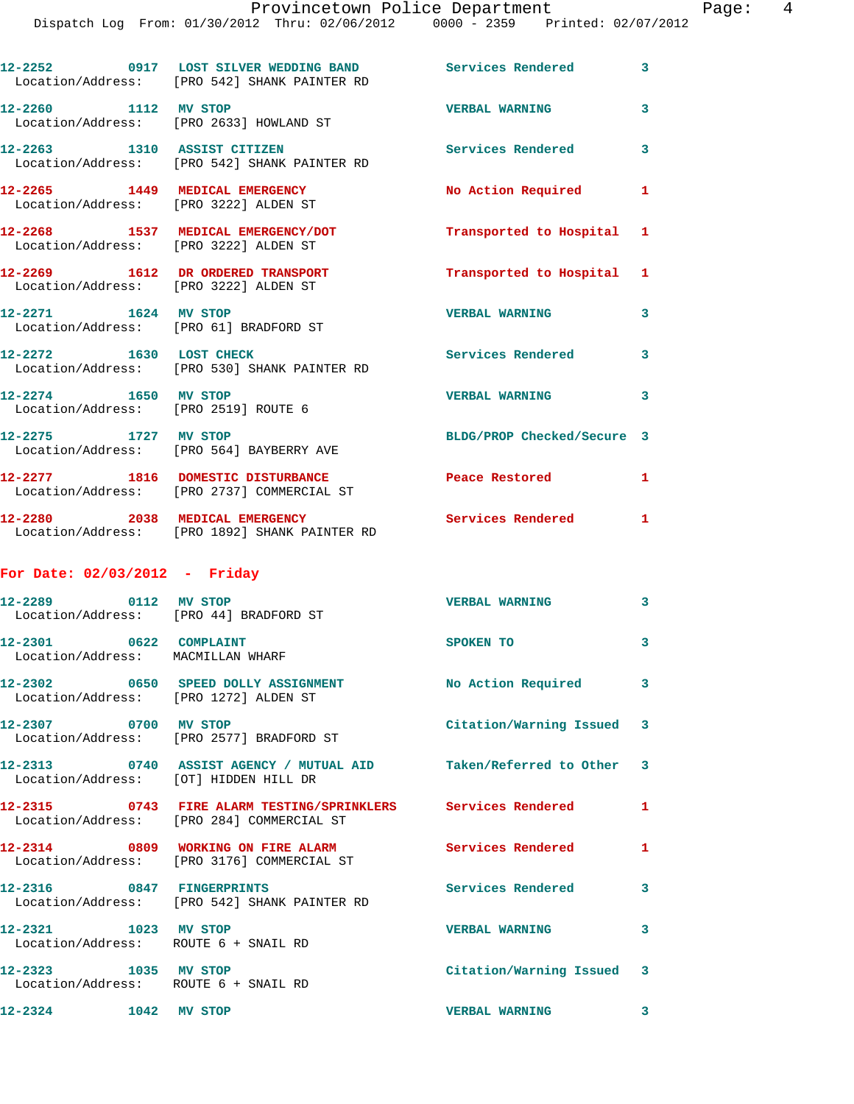Dispatch Log From: 01/30/2012 Thru: 02/06/2012 0000 - 2359 Printed: 02/07/2012

|                                                             | 12-2252 0917 LOST SILVER WEDDING BAND<br>Location/Address: [PRO 542] SHANK PAINTER RD                      | <b>Services Rendered</b>   | $\overline{\mathbf{3}}$ |
|-------------------------------------------------------------|------------------------------------------------------------------------------------------------------------|----------------------------|-------------------------|
| 12-2260 1112 MV STOP                                        | Location/Address: [PRO 2633] HOWLAND ST                                                                    | <b>VERBAL WARNING</b>      | 3                       |
|                                                             | 12-2263 1310 ASSIST CITIZEN<br>Location/Address: [PRO 542] SHANK PAINTER RD                                | <b>Services Rendered</b>   | 3                       |
|                                                             | 12-2265 1449 MEDICAL EMERGENCY<br>Location/Address: [PRO 3222] ALDEN ST                                    | No Action Required 1       |                         |
|                                                             | 12-2268 1537 MEDICAL EMERGENCY/DOT<br>Location/Address: [PRO 3222] ALDEN ST                                | Transported to Hospital 1  |                         |
|                                                             | 12-2269 1612 DR ORDERED TRANSPORT<br>Location/Address: [PRO 3222] ALDEN ST                                 | Transported to Hospital 1  |                         |
| 12-2271 1624 MV STOP                                        | Location/Address: [PRO 61] BRADFORD ST                                                                     | <b>VERBAL WARNING</b>      | 3                       |
| 12-2272 1630 LOST CHECK                                     | Location/Address: [PRO 530] SHANK PAINTER RD                                                               | Services Rendered          | 3                       |
| 12-2274 1650 MV STOP                                        | Location/Address: [PRO 2519] ROUTE 6                                                                       | <b>VERBAL WARNING</b>      | 3                       |
| 12-2275 1727 MV STOP                                        | Location/Address: [PRO 564] BAYBERRY AVE                                                                   | BLDG/PROP Checked/Secure 3 |                         |
|                                                             | 12-2277 1816 DOMESTIC DISTURBANCE<br>Location/Address: [PRO 2737] COMMERCIAL ST                            | Peace Restored             | $\mathbf{1}$            |
|                                                             | 12-2280 2038 MEDICAL EMERGENCY                                                                             | <b>Services Rendered</b> 1 |                         |
|                                                             | Location/Address: [PRO 1892] SHANK PAINTER RD                                                              |                            |                         |
| For Date: $02/03/2012$ - Friday                             |                                                                                                            |                            |                         |
| 12-2289 0112 MV STOP                                        | Location/Address: [PRO 44] BRADFORD ST                                                                     | <b>VERBAL WARNING</b>      | 3                       |
| 12-2301 0622 COMPLAINT<br>Location/Address: MACMILLAN WHARF |                                                                                                            | SPOKEN TO                  | 3                       |
|                                                             | 12-2302 0650 SPEED DOLLY ASSIGNMENT<br>Location/Address: [PRO 1272] ALDEN ST                               | No Action Required         | $\mathbf{3}$            |
| 12-2307 0700 MV STOP                                        | Location/Address: [PRO 2577] BRADFORD ST                                                                   | Citation/Warning Issued 3  |                         |
|                                                             | 12-2313 0740 ASSIST AGENCY / MUTUAL AID Taken/Referred to Other 3<br>Location/Address: [OT] HIDDEN HILL DR |                            |                         |
|                                                             | 12-2315 0743 FIRE ALARM TESTING/SPRINKLERS Services Rendered<br>Location/Address: [PRO 284] COMMERCIAL ST  |                            | 1                       |
|                                                             | 12-2314 0809 WORKING ON FIRE ALARM<br>Location/Address: [PRO 3176] COMMERCIAL ST                           | <b>Services Rendered</b>   | $\mathbf{1}$            |
| 12-2316 0847 FINGERPRINTS                                   | Location/Address: [PRO 542] SHANK PAINTER RD                                                               | <b>Services Rendered</b>   | 3                       |
| 12-2321 1023 MV STOP                                        | Location/Address: ROUTE 6 + SNAIL RD                                                                       | <b>VERBAL WARNING</b>      | 3                       |
| 12-2323 1035 MV STOP                                        | Location/Address: ROUTE 6 + SNAIL RD                                                                       | Citation/Warning Issued 3  |                         |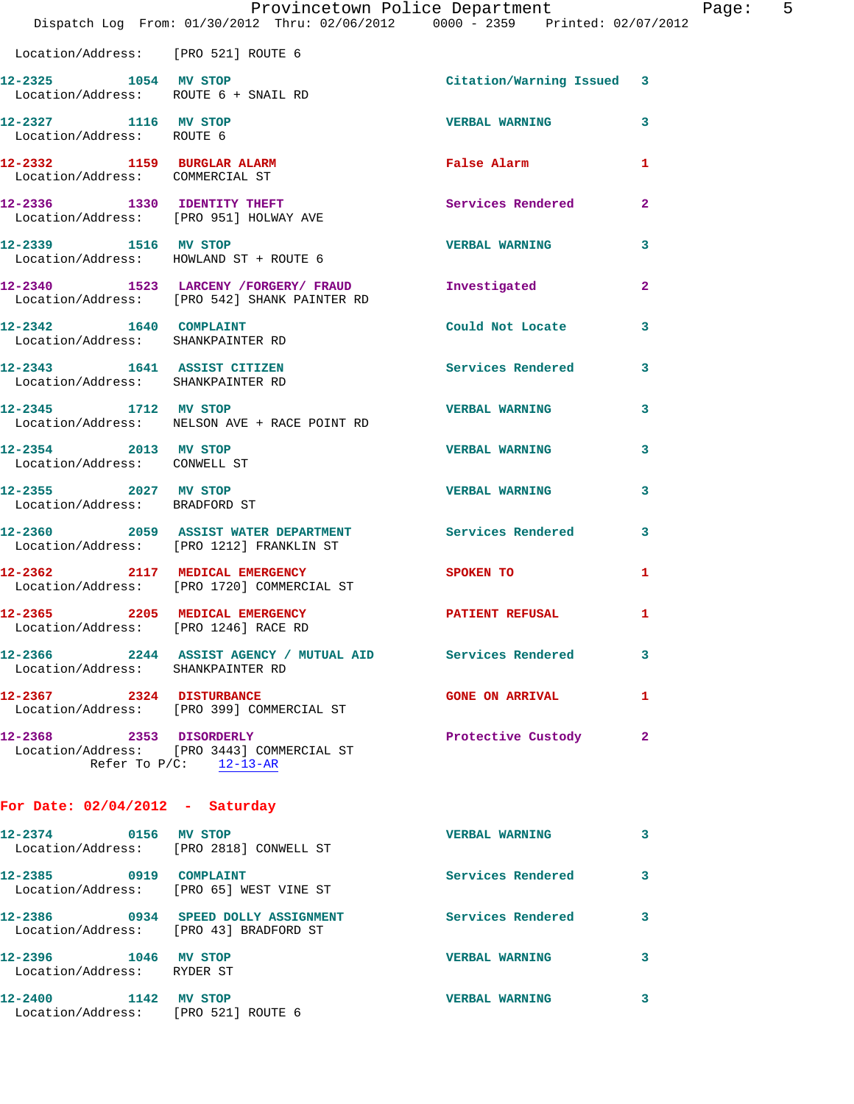|                                                                  | Dispatch Log From: 01/30/2012 Thru: 02/06/2012 0000 - 2359 Printed: 02/07/2012                       | Provincetown Police Department |              | Page: 5 |  |
|------------------------------------------------------------------|------------------------------------------------------------------------------------------------------|--------------------------------|--------------|---------|--|
| Location/Address: [PRO 521] ROUTE 6                              |                                                                                                      |                                |              |         |  |
| 12-2325 1054 MV STOP<br>Location/Address: ROUTE 6 + SNAIL RD     |                                                                                                      | Citation/Warning Issued 3      |              |         |  |
| 12-2327 1116 MV STOP<br>Location/Address: ROUTE 6                |                                                                                                      | <b>VERBAL WARNING</b>          | 3            |         |  |
| 12-2332 1159 BURGLAR ALARM<br>Location/Address: COMMERCIAL ST    |                                                                                                      | False Alarm                    | $\mathbf{1}$ |         |  |
| Location/Address: [PRO 951] HOLWAY AVE                           | 12-2336 1330 IDENTITY THEFT                                                                          | Services Rendered              | $\mathbf{2}$ |         |  |
| 12-2339 1516 MV STOP                                             | Location/Address: HOWLAND ST + ROUTE 6                                                               | <b>VERBAL WARNING</b>          | 3            |         |  |
|                                                                  | 12-2340 1523 LARCENY /FORGERY / FRAUD Investigated<br>Location/Address: [PRO 542] SHANK PAINTER RD   |                                | $\mathbf{2}$ |         |  |
| 12-2342 1640 COMPLAINT<br>Location/Address: SHANKPAINTER RD      |                                                                                                      | Could Not Locate               | 3            |         |  |
| 12-2343 1641 ASSIST CITIZEN<br>Location/Address: SHANKPAINTER RD |                                                                                                      | Services Rendered 3            |              |         |  |
| 12-2345 1712 MV STOP                                             | Location/Address: NELSON AVE + RACE POINT RD                                                         | <b>VERBAL WARNING</b>          | 3            |         |  |
| 12-2354 2013 MV STOP<br>Location/Address: CONWELL ST             |                                                                                                      | <b>VERBAL WARNING</b>          | 3            |         |  |
| 12-2355 2027 MV STOP<br>Location/Address: BRADFORD ST            |                                                                                                      | <b>VERBAL WARNING</b>          | 3            |         |  |
|                                                                  | 12-2360 2059 ASSIST WATER DEPARTMENT Services Rendered 3<br>Location/Address: [PRO 1212] FRANKLIN ST |                                |              |         |  |
|                                                                  | 12-2362 2117 MEDICAL EMERGENCY<br>Location/Address: [PRO 1720] COMMERCIAL ST                         | SPOKEN TO                      | 1            |         |  |
| 12-2365<br>Location/Address: [PRO 1246] RACE RD                  | 2205 MEDICAL EMERGENCY                                                                               | PATIENT REFUSAL                | $\mathbf{1}$ |         |  |
| Location/Address: SHANKPAINTER RD                                | 12-2366 2244 ASSIST AGENCY / MUTUAL AID Services Rendered                                            |                                | 3            |         |  |
|                                                                  | 12-2367 2324 DISTURBANCE<br>Location/Address: [PRO 399] COMMERCIAL ST                                | GONE ON ARRIVAL 1              |              |         |  |
|                                                                  | 12-2368 2353 DISORDERLY<br>Location/Address: [PRO 3443] COMMERCIAL ST<br>Refer To $P/C$ : 12-13-AR   | Protective Custody             | -2           |         |  |
| For Date: $02/04/2012$ - Saturday                                |                                                                                                      |                                |              |         |  |
|                                                                  | 12-2374 0156 MV STOP<br>Location/Address: [PRO 2818] CONWELL ST                                      | <b>VERBAL WARNING</b>          | 3            |         |  |
| 12-2385 0919 COMPLAINT                                           | Location/Address: [PRO 65] WEST VINE ST                                                              | Services Rendered 3            |              |         |  |
| Location/Address: [PRO 43] BRADFORD ST                           | 12-2386 0934 SPEED DOLLY ASSIGNMENT Services Rendered                                                |                                | 3            |         |  |
| 12-2396 1046 MV STOP<br>Location/Address: RYDER ST               |                                                                                                      | <b>VERBAL WARNING</b>          | 3            |         |  |
| 12-2400 1142 MV STOP                                             | Location/Address: [PRO 521] ROUTE 6                                                                  | <b>VERBAL WARNING</b>          | 3            |         |  |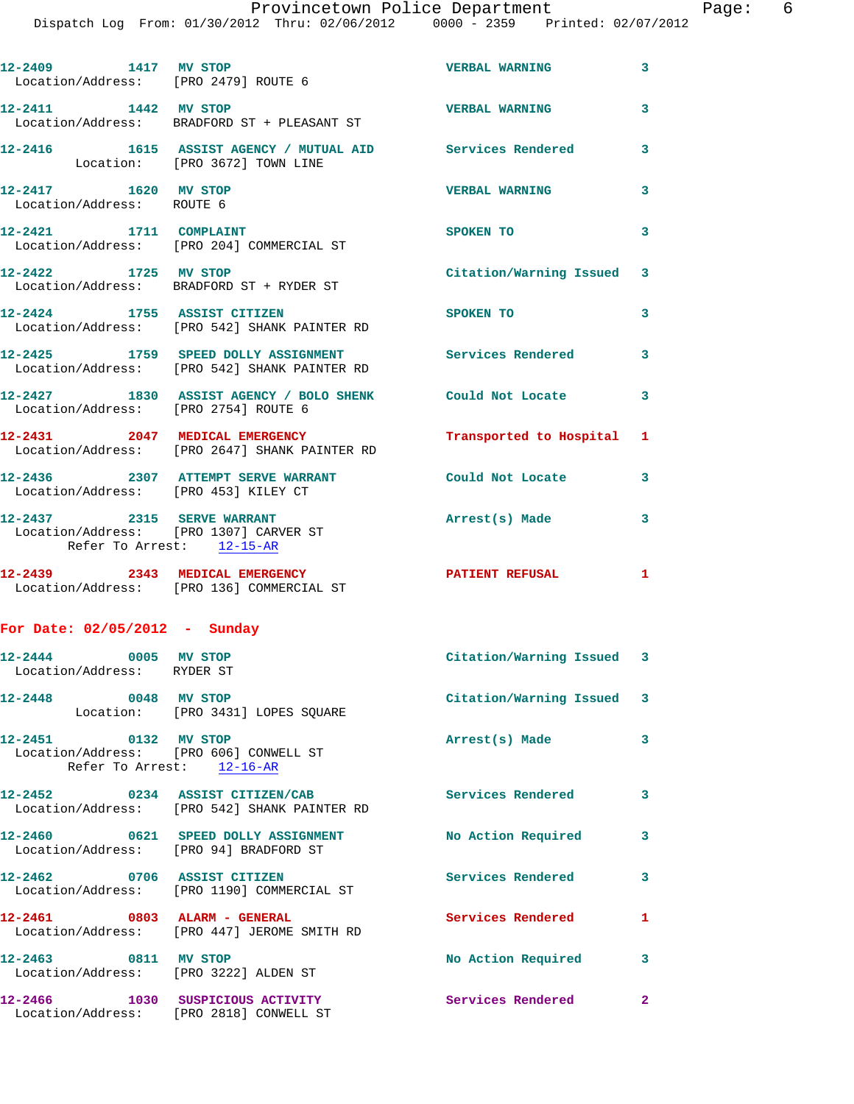|                                                                | 12-2409 1417 MV STOP<br>Location/Address: [PRO 2479] ROUTE 6                        | <b>VERBAL WARNING</b>     | 3                       |
|----------------------------------------------------------------|-------------------------------------------------------------------------------------|---------------------------|-------------------------|
| 12-2411 1442 MV STOP                                           | Location/Address: BRADFORD ST + PLEASANT ST                                         | <b>VERBAL WARNING</b>     | 3                       |
| Location: [PRO 3672] TOWN LINE                                 | 12-2416 1615 ASSIST AGENCY / MUTUAL AID Services Rendered                           |                           | $\overline{\mathbf{3}}$ |
| 12-2417 1620 MV STOP<br>Location/Address: ROUTE 6              |                                                                                     | <b>VERBAL WARNING</b>     | 3                       |
|                                                                | 12-2421 1711 COMPLAINT<br>Location/Address: [PRO 204] COMMERCIAL ST                 | SPOKEN TO                 | 3                       |
| 12-2422 1725 MV STOP                                           | Location/Address: BRADFORD ST + RYDER ST                                            | Citation/Warning Issued 3 |                         |
|                                                                | 12-2424 1755 ASSIST CITIZEN<br>Location/Address: [PRO 542] SHANK PAINTER RD         | SPOKEN TO                 | 3                       |
|                                                                | 12-2425 1759 SPEED DOLLY ASSIGNMENT<br>Location/Address: [PRO 542] SHANK PAINTER RD | Services Rendered 3       |                         |
| Location/Address: [PRO 2754] ROUTE 6                           | 12-2427 1830 ASSIST AGENCY / BOLO SHENK Could Not Locate                            |                           | $\mathbf{3}$            |
|                                                                | 12-2431 2047 MEDICAL EMERGENCY<br>Location/Address: [PRO 2647] SHANK PAINTER RD     | Transported to Hospital 1 |                         |
| Location/Address: [PRO 453] KILEY CT                           | 12-2436 2307 ATTEMPT SERVE WARRANT                                                  | Could Not Locate          | 3                       |
| 12-2437 2315 SERVE WARRANT                                     | Location/Address: [PRO 1307] CARVER ST                                              | Arrest(s) Made            | 3                       |
| Refer To Arrest: 12-15-AR                                      |                                                                                     |                           |                         |
|                                                                | 12-2439 2343 MEDICAL EMERGENCY<br>Location/Address: [PRO 136] COMMERCIAL ST         | PATIENT REFUSAL 1         |                         |
| For Date: $02/05/2012$ - Sunday                                |                                                                                     |                           |                         |
| 12-2444 0005 MV STOP<br>Location/Address: RYDER ST             |                                                                                     | Citation/Warning Issued 3 |                         |
| 12-2448<br>0048 MV STOP                                        | Location: [PRO 3431] LOPES SQUARE                                                   | Citation/Warning Issued 3 |                         |
| 12-2451 0132 MV STOP<br>Location/Address: [PRO 606] CONWELL ST | Refer To Arrest: 12-16-AR                                                           | Arrest(s) Made            | 3                       |
|                                                                | 12-2452 0234 ASSIST CITIZEN/CAB<br>Location/Address: [PRO 542] SHANK PAINTER RD     | <b>Services Rendered</b>  | $\overline{\mathbf{3}}$ |
| Location/Address: [PRO 94] BRADFORD ST                         | 12-2460 0621 SPEED DOLLY ASSIGNMENT                                                 | No Action Required        | 3                       |
| 12-2462 0706 ASSIST CITIZEN                                    | Location/Address: [PRO 1190] COMMERCIAL ST                                          | Services Rendered         | 3                       |
| 12-2461 0803 ALARM - GENERAL                                   | Location/Address: [PRO 447] JEROME SMITH RD                                         | Services Rendered         | $\mathbf{1}$            |
| 12-2463 0811 MV STOP<br>Location/Address: [PRO 3222] ALDEN ST  |                                                                                     | No Action Required        | 3                       |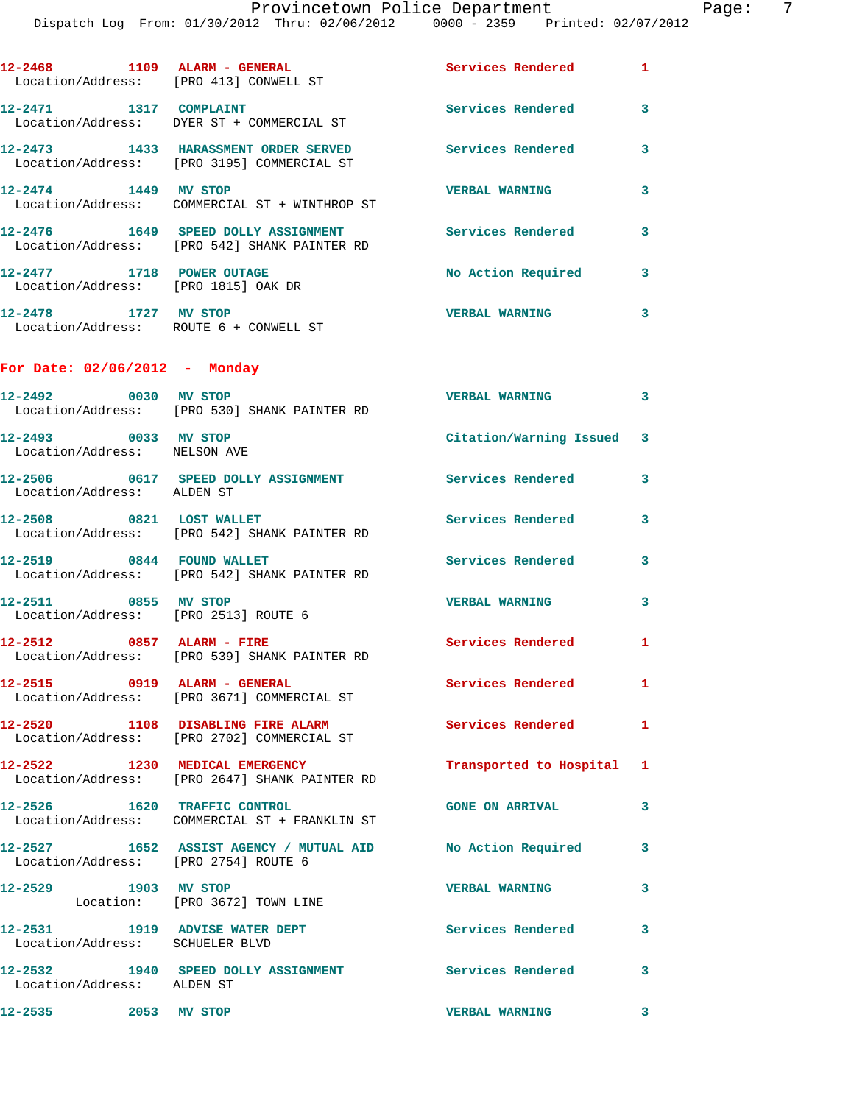|                                                              | 12-2468 1109 ALARM - GENERAL<br>Location/Address: [PRO 413] CONWELL ST                                      | <b>Services Rendered</b>  | 1            |
|--------------------------------------------------------------|-------------------------------------------------------------------------------------------------------------|---------------------------|--------------|
|                                                              | 12-2471 1317 COMPLAINT<br>Location/Address: DYER ST + COMMERCIAL ST                                         | Services Rendered         | 3            |
|                                                              | 12-2473 1433 HARASSMENT ORDER SERVED<br>Location/Address: [PRO 3195] COMMERCIAL ST                          | Services Rendered         | 3            |
| 12-2474 1449 MV STOP                                         | Location/Address: COMMERCIAL ST + WINTHROP ST                                                               | <b>VERBAL WARNING</b>     | 3            |
|                                                              | 12-2476 1649 SPEED DOLLY ASSIGNMENT<br>Location/Address: [PRO 542] SHANK PAINTER RD                         | <b>Services Rendered</b>  | 3            |
| 12-2477 1718 POWER OUTAGE                                    | Location/Address: [PRO 1815] OAK DR                                                                         | No Action Required        | $\mathbf{3}$ |
|                                                              | 12-2478 1727 MV STOP<br>Location/Address: ROUTE 6 + CONWELL ST                                              | <b>VERBAL WARNING</b>     | 3            |
| For Date: $02/06/2012$ - Monday                              |                                                                                                             |                           |              |
|                                                              | 12-2492 0030 MV STOP<br>Location/Address: [PRO 530] SHANK PAINTER RD                                        | <b>VERBAL WARNING</b>     | 3            |
| 12-2493 0033 MV STOP<br>Location/Address: NELSON AVE         |                                                                                                             | Citation/Warning Issued 3 |              |
|                                                              | 12-2506 0617 SPEED DOLLY ASSIGNMENT Services Rendered                                                       |                           | 3            |
| Location/Address: ALDEN ST<br>12-2508 0821 LOST WALLET       |                                                                                                             | Services Rendered         | 3            |
|                                                              | Location/Address: [PRO 542] SHANK PAINTER RD<br>12-2519 0844 FOUND WALLET                                   | Services Rendered         | 3            |
| 12-2511 0855 MV STOP                                         | Location/Address: [PRO 542] SHANK PAINTER RD                                                                | <b>VERBAL WARNING</b>     | 3            |
| Location/Address: [PRO 2513] ROUTE 6                         | 12-2512 0857 ALARM - FIRE                                                                                   | Services Rendered 1       |              |
|                                                              | Location/Address: [PRO 539] SHANK PAINTER RD<br>12-2515 0919 ALARM - GENERAL                                | Services Rendered         | 1            |
|                                                              | Location/Address: [PRO 3671] COMMERCIAL ST<br>12-2520 1108 DISABLING FIRE ALARM                             | Services Rendered 1       |              |
|                                                              | Location/Address: [PRO 2702] COMMERCIAL ST<br>12-2522 1230 MEDICAL EMERGENCY                                | Transported to Hospital 1 |              |
|                                                              | Location/Address: [PRO 2647] SHANK PAINTER RD<br>12-2526 1620 TRAFFIC CONTROL                               | <b>GONE ON ARRIVAL</b>    | 3            |
|                                                              | Location/Address: COMMERCIAL ST + FRANKLIN ST<br>12-2527 1652 ASSIST AGENCY / MUTUAL AID No Action Required |                           | $\mathbf{3}$ |
| Location/Address: [PRO 2754] ROUTE 6<br>12-2529 1903 MV STOP |                                                                                                             | <b>VERBAL WARNING</b>     | 3            |
|                                                              | Location: [PRO 3672] TOWN LINE<br>12-2531 1919 ADVISE WATER DEPT                                            | Services Rendered         | 3            |
| Location/Address: SCHUELER BLVD                              | 12-2532 1940 SPEED DOLLY ASSIGNMENT Services Rendered                                                       |                           |              |
| Location/Address: ALDEN ST                                   |                                                                                                             |                           | 3            |
| 12-2535 2053 MV STOP                                         |                                                                                                             | <b>VERBAL WARNING</b>     | 3            |